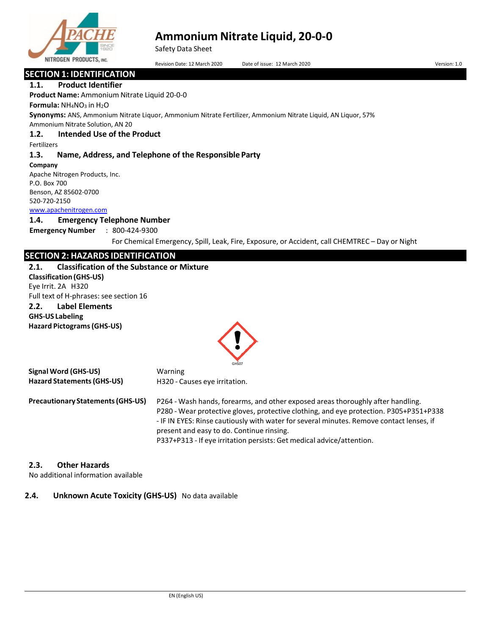

Safety Data Sheet

Revision Date: 12 March 2020 Date of issue: 12 March 2020 Version: 1.0

# **SECTION 1: IDENTIFICATION**

**1.1. Product Identifier**

**Product Name:** Ammonium Nitrate Liquid 20-0-0

**Formula:** NH<sub>4</sub>NO<sub>3</sub> in H<sub>2</sub>O

**Synonyms:** ANS, Ammonium Nitrate Liquor, Ammonium Nitrate Fertilizer, Ammonium Nitrate Liquid, AN Liquor, 57%

Ammonium Nitrate Solution, AN 20

### **1.2. Intended Use of the Product**

Fertilizers

## **1.3. Name, Address, and Telephone of the Responsible Party**

#### **Company**

Apache Nitrogen Products, Inc. P.O. Box 700 Benson, AZ 85602-0700 520-720-2150 [www.apachenitrogen.com](http://www.apachenitrogen.com/)

# **1.4. Emergency Telephone Number**

**Emergency Number** : 800-424-9300

For Chemical Emergency, Spill, Leak, Fire, Exposure, or Accident, call CHEMTREC – Day or Night

# **SECTION 2: HAZARDS IDENTIFICATION**

### **2.1. Classification of the Substance or Mixture**

**Classification (GHS-US)** Eye Irrit. 2A H320 Full text of H-phrases: see section 16 **2.2. Label Elements GHS-US Labeling**

**Hazard Pictograms(GHS-US)**



| Signal Word (GHS-US)                     | Warning                                                                                                                                                                                                                                                                                                                                                                                     |
|------------------------------------------|---------------------------------------------------------------------------------------------------------------------------------------------------------------------------------------------------------------------------------------------------------------------------------------------------------------------------------------------------------------------------------------------|
| <b>Hazard Statements (GHS-US)</b>        | H320 - Causes eye irritation.                                                                                                                                                                                                                                                                                                                                                               |
| <b>Precautionary Statements (GHS-US)</b> | P264 - Wash hands, forearms, and other exposed areas thoroughly after handling.<br>P280 - Wear protective gloves, protective clothing, and eye protection. P305+P351+P338<br>- IF IN EYES: Rinse cautiously with water for several minutes. Remove contact lenses, if<br>present and easy to do. Continue rinsing.<br>P337+P313 - If eye irritation persists: Get medical advice/attention. |

### **2.3. Other Hazards**

No additional information available

## **2.4. Unknown Acute Toxicity (GHS-US)** No data available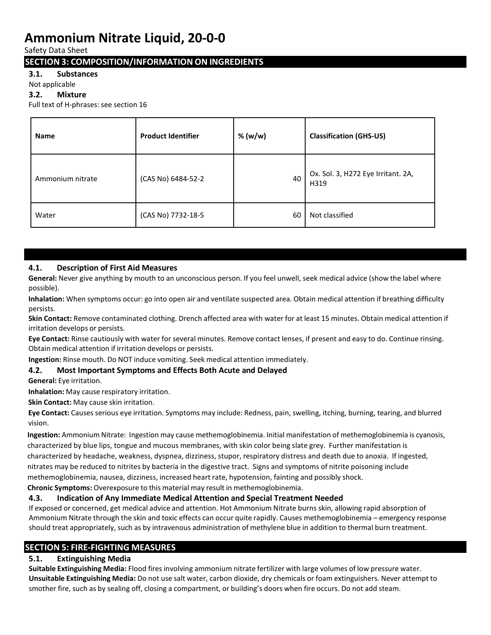# Safety Data Sheet

# **SECTION 3: COMPOSITION/INFORMATION ON INGREDIENTS**

**3.1. Substances**

# Not applicable

### **3.2. Mixture**

Full text of H-phrases: see section 16

| <b>Name</b>      | <b>Product Identifier</b> | % (w/w) | <b>Classification (GHS-US)</b>             |
|------------------|---------------------------|---------|--------------------------------------------|
| Ammonium nitrate | (CAS No) 6484-52-2        | 40      | Ox. Sol. 3, H272 Eye Irritant. 2A,<br>H319 |
| Water            | (CAS No) 7732-18-5        | 60      | Not classified                             |

## **4.1. Description of First Aid Measures**

**General:** Never give anything by mouth to an unconscious person. If you feel unwell, seek medical advice (show the label where possible).

**Inhalation:** When symptoms occur: go into open air and ventilate suspected area. Obtain medical attention if breathing difficulty persists.

**Skin Contact:** Remove contaminated clothing. Drench affected area with water for at least 15 minutes. Obtain medical attention if irritation develops or persists.

**Eye Contact:** Rinse cautiously with water for several minutes. Remove contact lenses, if present and easy to do. Continue rinsing. Obtain medical attention if irritation develops or persists.

**Ingestion:** Rinse mouth. Do NOT induce vomiting. Seek medical attention immediately.

## **4.2. Most Important Symptoms and Effects Both Acute and Delayed**

**General:** Eye irritation.

**Inhalation:** May cause respiratory irritation.

**Skin Contact:** May cause skin irritation.

**Eye Contact:** Causes serious eye irritation. Symptoms may include: Redness, pain, swelling, itching, burning, tearing, and blurred vision.

**Ingestion:** Ammonium Nitrate: Ingestion may cause methemoglobinemia. Initial manifestation of methemoglobinemia is cyanosis, characterized by blue lips, tongue and mucous membranes, with skin color being slate grey. Further manifestation is characterized by headache, weakness, dyspnea, dizziness, stupor, respiratory distress and death due to anoxia. If ingested, nitrates may be reduced to nitrites by bacteria in the digestive tract. Signs and symptoms of nitrite poisoning include

methemoglobinemia, nausea, dizziness, increased heart rate, hypotension, fainting and possibly shock.

**Chronic Symptoms:** Overexposure to this material may result in methemoglobinemia.

## **4.3. Indication of Any Immediate Medical Attention and Special Treatment Needed**

If exposed or concerned, get medical advice and attention. Hot Ammonium Nitrate burns skin, allowing rapid absorption of Ammonium Nitrate through the skin and toxic effects can occur quite rapidly. Causes methemoglobinemia – emergency response should treat appropriately, such as by intravenous administration of methylene blue in addition to thermal burn treatment.

# **SECTION 5: FIRE-FIGHTING MEASURES**

# **5.1. Extinguishing Media**

**Suitable Extinguishing Media:** Flood fires involving ammonium nitrate fertilizer with large volumes of low pressure water. **Unsuitable Extinguishing Media:** Do not use salt water, carbon dioxide, dry chemicals or foam extinguishers. Never attempt to smother fire, such as by sealing off, closing a compartment, or building's doors when fire occurs. Do not add steam.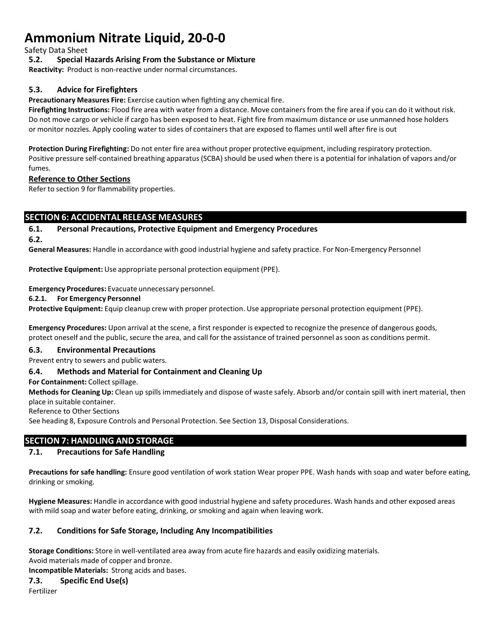Safety Data Sheet

### **5.2. Special Hazards Arising From the Substance or Mixture**

**Reactivity:** Product is non-reactive under normal circumstances.

### **5.3. Advice for Firefighters**

**Precautionary Measures Fire:** Exercise caution when fighting any chemical fire.

**Firefighting Instructions:** Flood fire area with water from a distance. Move containers from the fire area if you can do it without risk. Do not move cargo or vehicle if cargo has been exposed to heat. Fight fire from maximum distance or use unmanned hose holders or monitor nozzles. Apply cooling water to sides of containers that are exposed to flames until well after fire is out

**Protection During Firefighting:** Do not enter fire area without proper protective equipment, including respiratory protection. Positive pressure self-contained breathing apparatus (SCBA) should be used when there is a potential for inhalation of vapors and/or fumes.

### **Reference to Other Sections**

Refer to section 9 for flammability properties.

## **SECTION 6: ACCIDENTAL RELEASE MEASURES**

### **6.1. Personal Precautions, Protective Equipment and Emergency Procedures**

**6.2.**

**General Measures:** Handle in accordance with good industrial hygiene and safety practice. For Non-Emergency Personnel

**Protective Equipment:** Use appropriate personal protection equipment (PPE).

**Emergency Procedures:** Evacuate unnecessary personnel.

#### **6.2.1. For Emergency Personnel**

**Protective Equipment:** Equip cleanup crew with proper protection. Use appropriate personal protection equipment (PPE).

**Emergency Procedures:** Upon arrival at the scene, a first responder is expected to recognize the presence of dangerous goods, protect oneself and the public, secure the area, and call for the assistance of trained personnel as soon as conditions permit.

### **6.3. Environmental Precautions**

Prevent entry to sewers and public waters.

### **6.4. Methods and Material for Containment and Cleaning Up**

For **Containment:** Collect spillage.

**Methodsfor Cleaning Up:** Clean up spills immediately and dispose of waste safely. Absorb and/or contain spill with inert material, then place in suitable container.

Reference to Other Sections

See heading 8, Exposure Controls and Personal Protection. See Section 13, Disposal Considerations.

# **SECTION 7: HANDLING AND STORAGE**

## **7.1. Precautions for Safe Handling**

**Precautions for safe handling:** Ensure good ventilation of work station Wear proper PPE. Wash hands with soap and water before eating, drinking or smoking.

**Hygiene Measures:** Handle in accordance with good industrial hygiene and safety procedures. Wash hands and other exposed areas with mild soap and water before eating, drinking, or smoking and again when leaving work.

## **7.2. Conditions for Safe Storage, Including Any Incompatibilities**

**Storage Conditions:** Store in well-ventilated area away from acute fire hazards and easily oxidizing materials.

Avoid materials made of copper and bronze.

**Incompatible Materials:** Strong acids and bases.

**7.3. Specific End Use(s)** Fertilizer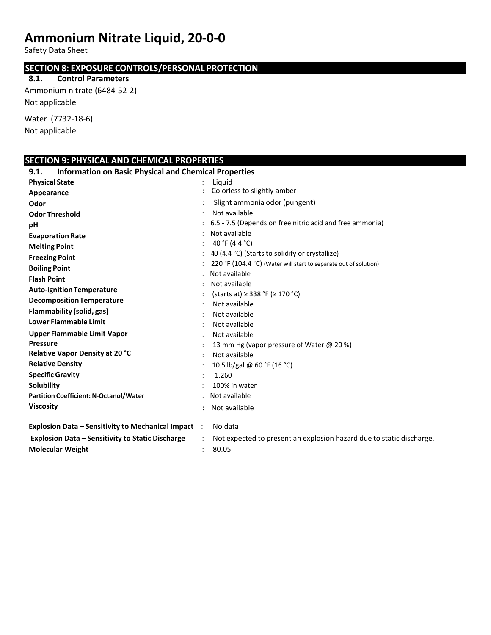Safety Data Sheet

# **SECTION 8: EXPOSURE CONTROLS/PERSONAL PROTECTION**

**8.1. Control Parameters**

Ammonium nitrate (6484-52-2)

Not applicable

Water (7732-18-6)

Not applicable

| <b>SECTION 9: PHYSICAL AND CHEMICAL PROPERTIES</b>                   |                                                                      |
|----------------------------------------------------------------------|----------------------------------------------------------------------|
| <b>Information on Basic Physical and Chemical Properties</b><br>9.1. |                                                                      |
| <b>Physical State</b>                                                | Liguid                                                               |
| Appearance                                                           | Colorless to slightly amber                                          |
| Odor                                                                 | Slight ammonia odor (pungent)                                        |
| <b>Odor Threshold</b>                                                | Not available                                                        |
| рH                                                                   | 6.5 - 7.5 (Depends on free nitric acid and free ammonia)             |
| <b>Evaporation Rate</b>                                              | Not available                                                        |
| <b>Melting Point</b>                                                 | 40 °F (4.4 °C)                                                       |
| <b>Freezing Point</b>                                                | 40 (4.4 °C) (Starts to solidify or crystallize)                      |
| <b>Boiling Point</b>                                                 | 220 °F (104.4 °C) (Water will start to separate out of solution)     |
| <b>Flash Point</b>                                                   | Not available                                                        |
| <b>Auto-ignition Temperature</b>                                     | Not available                                                        |
| <b>Decomposition Temperature</b>                                     | (starts at) $\geq$ 338 °F ( $\geq$ 170 °C)                           |
| Flammability (solid, gas)                                            | Not available                                                        |
| <b>Lower Flammable Limit</b>                                         | Not available                                                        |
|                                                                      | Not available                                                        |
| Upper Flammable Limit Vapor                                          | Not available                                                        |
| <b>Pressure</b>                                                      | 13 mm Hg (vapor pressure of Water @ 20 %)                            |
| Relative Vapor Density at 20 °C                                      | Not available                                                        |
| <b>Relative Density</b>                                              | 10.5 lb/gal @ 60 °F (16 °C)                                          |
| <b>Specific Gravity</b>                                              | 1.260                                                                |
| Solubility                                                           | 100% in water                                                        |
| <b>Partition Coefficient: N-Octanol/Water</b>                        | Not available                                                        |
| <b>Viscosity</b>                                                     | Not available                                                        |
| <b>Explosion Data - Sensitivity to Mechanical Impact</b> :           | No data                                                              |
| <b>Explosion Data - Sensitivity to Static Discharge</b>              | Not expected to present an explosion hazard due to static discharge. |
| <b>Molecular Weight</b>                                              | 80.05                                                                |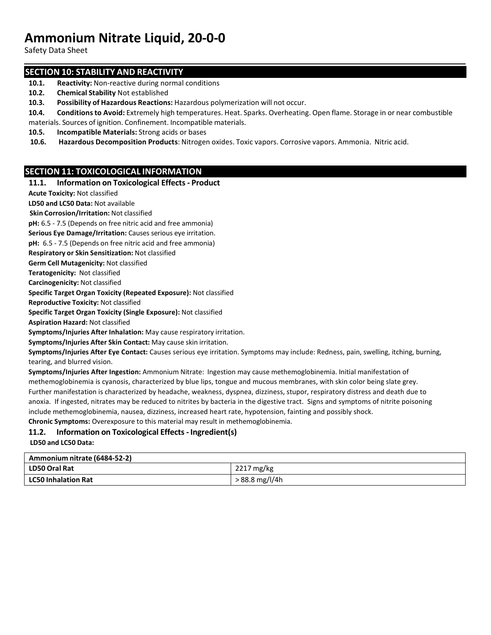Safety Data Sheet

## **SECTION 10: STABILITY AND REACTIVITY**

**10.1. Reactivity:** Non-reactive during normal conditions

**10.2. Chemical Stability** Not established

**10.3. Possibility of Hazardous Reactions:** Hazardous polymerization will not occur.

**10.4. Conditionsto Avoid:** Extremely high temperatures. Heat. Sparks. Overheating. Open flame. Storage in or near combustible materials. Sources of ignition. Confinement. Incompatible materials.

**10.5. Incompatible Materials:** Strong acids or bases

**10.6. Hazardous Decomposition Products**: Nitrogen oxides. Toxic vapors. Corrosive vapors. Ammonia. Nitric acid.

# **SECTION 11: TOXICOLOGICAL INFORMATION**

#### **11.1. Information on Toxicological Effects- Product**

**Acute Toxicity:** Not classified

**LD50 and LC50 Data:** Not available

**Skin Corrosion/Irritation:** Not classified

**pH:** 6.5 - 7.5 (Depends on free nitric acid and free ammonia)

**Serious Eye Damage/Irritation:** Causes serious eye irritation.

**pH:** 6.5 - 7.5 (Depends on free nitric acid and free ammonia)

**Respiratory or Skin Sensitization:** Not classified

**Germ Cell Mutagenicity:** Not classified

**Teratogenicity:** Not classified

**Carcinogenicity:** Not classified

**Specific Target Organ Toxicity (Repeated Exposure):** Not classified

**Reproductive Toxicity:** Not classified

**Specific Target Organ Toxicity (Single Exposure):** Not classified

**Aspiration Hazard:** Not classified

**Symptoms/Injuries After Inhalation:** May cause respiratory irritation.

**Symptoms/Injuries After Skin Contact:** May cause skin irritation.

**Symptoms/Injuries After Eye Contact:** Causes serious eye irritation. Symptoms may include: Redness, pain, swelling, itching, burning, tearing, and blurred vision.

**Symptoms/Injuries After Ingestion:** Ammonium Nitrate: Ingestion may cause methemoglobinemia. Initial manifestation of methemoglobinemia is cyanosis, characterized by blue lips, tongue and mucous membranes, with skin color being slate grey. Further manifestation is characterized by headache, weakness, dyspnea, dizziness, stupor, respiratory distress and death due to anoxia. If ingested, nitrates may be reduced to nitrites by bacteria in the digestive tract. Signs and symptoms of nitrite poisoning include methemoglobinemia, nausea, dizziness, increased heart rate, hypotension, fainting and possibly shock. **Chronic Symptoms:** Overexposure to this material may result in methemoglobinemia.

## **11.2. Information on Toxicological Effects- Ingredient(s)**

**LD50 and LC50 Data:**

### **Ammonium nitrate (6484-52-2)**

| <b>LD50 Oral Rat</b>       | 2217 mg/kg     |  |
|----------------------------|----------------|--|
| <b>LC50 Inhalation Rat</b> | > 88.8 mg/l/4h |  |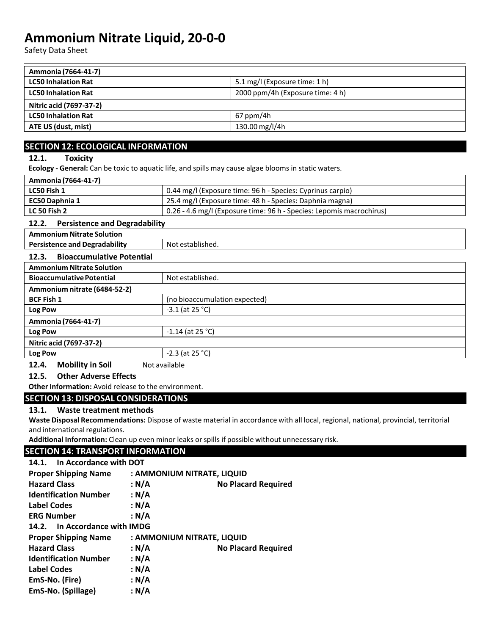Safety Data Sheet

| Ammonia (7664-41-7)        |                                  |
|----------------------------|----------------------------------|
| <b>LC50 Inhalation Rat</b> | 5.1 mg/l (Exposure time: 1 h)    |
| <b>LC50 Inhalation Rat</b> | 2000 ppm/4h (Exposure time: 4 h) |
| Nitric acid (7697-37-2)    |                                  |
| <b>LC50 Inhalation Rat</b> | 67 ppm/4h                        |
| ATE US (dust, mist)        | 130.00 mg/l/4h                   |

# **SECTION 12: ECOLOGICAL INFORMATION**

## **12.1. Toxicity**

**Ecology - General:** Can be toxic to aquatic life, and spills may cause algae blooms in static waters.

#### **Ammonia (7664-41-7)**

| LC50 Fish 1         | 0.44 mg/l (Exposure time: 96 h - Species: Cyprinus carpio)           |
|---------------------|----------------------------------------------------------------------|
| EC50 Daphnia 1      | 25.4 mg/l (Exposure time: 48 h - Species: Daphnia magna)             |
| <b>LC 50 Fish 2</b> | 0.26 - 4.6 mg/l (Exposure time: 96 h - Species: Lepomis macrochirus) |
|                     |                                                                      |

### **12.2. Persistence and Degradability**

**Ammonium Nitrate Solution**

**Persistence and Degradability** Not established.

## **12.3. Bioaccumulative Potential**

| <b>Ammonium Nitrate Solution</b>                  |                               |  |
|---------------------------------------------------|-------------------------------|--|
| <b>Bioaccumulative Potential</b>                  | Not established.              |  |
| Ammonium nitrate (6484-52-2)                      |                               |  |
| <b>BCF Fish 1</b>                                 | (no bioaccumulation expected) |  |
| $-3.1$ (at 25 °C)<br>Log Pow                      |                               |  |
| Ammonia (7664-41-7)                               |                               |  |
| Log Pow                                           | $-1.14$ (at 25 °C)            |  |
| Nitric acid (7697-37-2)                           |                               |  |
| Log Pow                                           | $-2.3$ (at 25 °C)             |  |
| <b>Mobility in Soil</b><br>12.4.<br>Not available |                               |  |

# **12.5. Other Adverse Effects**

**Other Information:** Avoid release to the environment.

# **SECTION 13: DISPOSAL CONSIDERATIONS**

## **13.1. Waste treatment methods**

**Waste Disposal Recommendations:** Dispose of waste material in accordance with all local, regional, national, provincial, territorial and international regulations.

**Additional Information:** Clean up even minor leaks orspills if possible without unnecessary risk.

# **SECTION 14: TRANSPORT INFORMATION 14.1. In Accordance with DOT**

| <b>Proper Shipping Name</b>   | : AMMONIUM NITRATE, LIQUID |                            |
|-------------------------------|----------------------------|----------------------------|
| <b>Hazard Class</b>           | : N/A                      | <b>No Placard Required</b> |
| <b>Identification Number</b>  | : N/A                      |                            |
| Label Codes                   | : N/A                      |                            |
| <b>ERG Number</b>             | : N/A                      |                            |
| 14.2. In Accordance with IMDG |                            |                            |
| <b>Proper Shipping Name</b>   | : AMMONIUM NITRATE, LIQUID |                            |
| <b>Hazard Class</b>           | : N/A                      | <b>No Placard Required</b> |
| <b>Identification Number</b>  | : N/A                      |                            |
| <b>Label Codes</b>            | : N/A                      |                            |
| EmS-No. (Fire)                | : N/A                      |                            |
| EmS-No. (Spillage)            |                            |                            |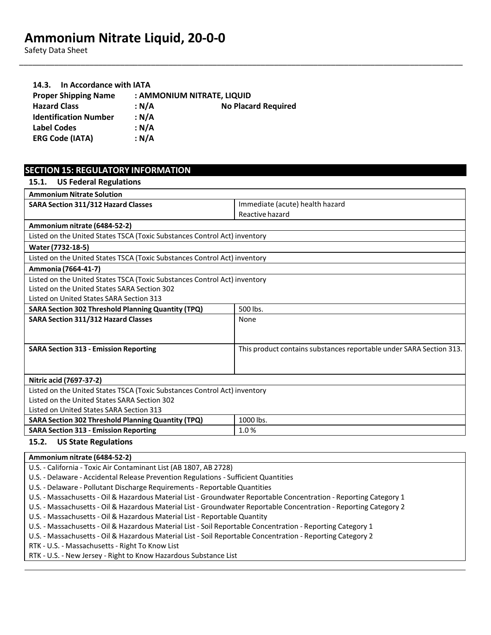Safety Data Sheet

### **14.3. In Accordance with IATA**

| <b>Proper Shipping Name</b>  | : AMMONIUM NITRATE, LIQUID |                            |
|------------------------------|----------------------------|----------------------------|
| <b>Hazard Class</b>          | : N/A                      | <b>No Placard Required</b> |
| <b>Identification Number</b> | : N/A                      |                            |
| <b>Label Codes</b>           | : N/A                      |                            |
| <b>ERG Code (IATA)</b>       | : N/A                      |                            |

# **SECTION 15: REGULATORY INFORMATION**

| <b>US Federal Regulations</b><br>15.1.                                    |                                                                     |
|---------------------------------------------------------------------------|---------------------------------------------------------------------|
| <b>Ammonium Nitrate Solution</b>                                          |                                                                     |
| <b>SARA Section 311/312 Hazard Classes</b>                                | Immediate (acute) health hazard                                     |
|                                                                           | Reactive hazard                                                     |
| Ammonium nitrate (6484-52-2)                                              |                                                                     |
| Listed on the United States TSCA (Toxic Substances Control Act) inventory |                                                                     |
| Water (7732-18-5)                                                         |                                                                     |
| Listed on the United States TSCA (Toxic Substances Control Act) inventory |                                                                     |
| Ammonia (7664-41-7)                                                       |                                                                     |
| Listed on the United States TSCA (Toxic Substances Control Act) inventory |                                                                     |
| Listed on the United States SARA Section 302                              |                                                                     |
| Listed on United States SARA Section 313                                  |                                                                     |
| <b>SARA Section 302 Threshold Planning Quantity (TPQ)</b>                 | 500 lbs.                                                            |
| <b>SARA Section 311/312 Hazard Classes</b>                                | None                                                                |
|                                                                           |                                                                     |
|                                                                           |                                                                     |
| <b>SARA Section 313 - Emission Reporting</b>                              | This product contains substances reportable under SARA Section 313. |
|                                                                           |                                                                     |
|                                                                           |                                                                     |
| Nitric acid (7697-37-2)                                                   |                                                                     |
| Listed on the United States TSCA (Toxic Substances Control Act) inventory |                                                                     |
| Listed on the United States SARA Section 302                              |                                                                     |
| Listed on United States SARA Section 313                                  |                                                                     |
| <b>SARA Section 302 Threshold Planning Quantity (TPQ)</b>                 | 1000 lbs.                                                           |
| <b>SARA Section 313 - Emission Reporting</b>                              | 1.0%                                                                |

\_\_\_\_\_\_\_\_\_\_\_\_\_\_\_\_\_\_\_\_\_\_\_\_\_\_\_\_\_\_\_\_\_\_\_\_\_\_\_\_\_\_\_\_\_\_\_\_\_\_\_\_\_\_\_\_\_\_\_\_\_\_\_\_\_\_\_\_\_\_\_\_\_\_\_\_\_\_\_\_\_\_\_\_\_\_\_\_\_\_\_\_\_\_\_\_\_\_\_\_\_

### **15.2. US State Regulations**

**Ammonium nitrate (6484-52-2)** U.S. - California - Toxic Air Contaminant List (AB 1807, AB 2728) U.S. - Delaware - Accidental Release Prevention Regulations - Sufficient Quantities U.S. - Delaware - Pollutant Discharge Requirements - Reportable Quantities U.S. - Massachusetts - Oil & Hazardous Material List - Groundwater Reportable Concentration - Reporting Category 1 U.S. - Massachusetts - Oil & Hazardous Material List - Groundwater Reportable Concentration - Reporting Category 2 U.S. - Massachusetts - Oil & Hazardous Material List - Reportable Quantity U.S. - Massachusetts - Oil & Hazardous Material List - Soil Reportable Concentration - Reporting Category 1 U.S. - Massachusetts - Oil & Hazardous Material List - Soil Reportable Concentration - Reporting Category 2 RTK - U.S. - Massachusetts - Right To Know List RTK - U.S. - New Jersey - Right to Know Hazardous Substance List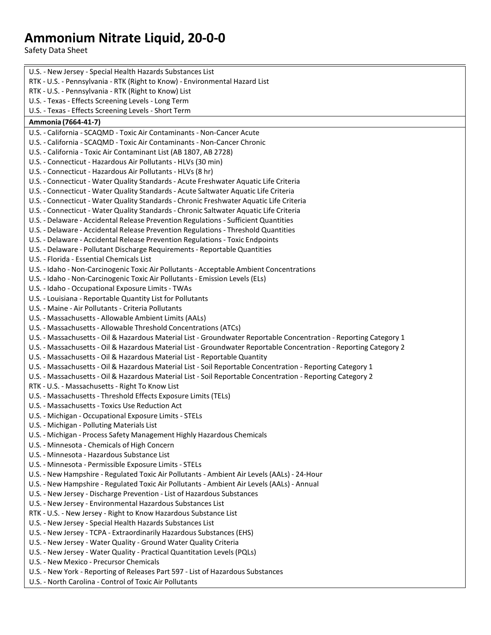Safety Data Sheet

U.S. - New Jersey - Special Health Hazards Substances List RTK - U.S. - Pennsylvania - RTK (Right to Know) - Environmental Hazard List RTK - U.S. - Pennsylvania - RTK (Right to Know) List U.S. - Texas - Effects Screening Levels - Long Term U.S. - Texas - Effects Screening Levels - Short Term **Ammonia (7664-41-7)** U.S. - California - SCAQMD - Toxic Air Contaminants - Non-Cancer Acute U.S. - California - SCAQMD - Toxic Air Contaminants - Non-Cancer Chronic U.S. - California - Toxic Air Contaminant List (AB 1807, AB 2728) U.S. - Connecticut - Hazardous Air Pollutants - HLVs (30 min) U.S. - Connecticut - Hazardous Air Pollutants - HLVs (8 hr) U.S. - Connecticut - Water Quality Standards - Acute Freshwater Aquatic Life Criteria U.S. - Connecticut - Water Quality Standards - Acute Saltwater Aquatic Life Criteria U.S. - Connecticut - Water Quality Standards - Chronic Freshwater Aquatic Life Criteria U.S. - Connecticut - Water Quality Standards - Chronic Saltwater Aquatic Life Criteria U.S. - Delaware - Accidental Release Prevention Regulations - Sufficient Quantities U.S. - Delaware - Accidental Release Prevention Regulations - Threshold Quantities U.S. - Delaware - Accidental Release Prevention Regulations - Toxic Endpoints U.S. - Delaware - Pollutant Discharge Requirements - Reportable Quantities U.S. - Florida - Essential Chemicals List U.S. - Idaho - Non-Carcinogenic Toxic Air Pollutants - Acceptable Ambient Concentrations U.S. - Idaho - Non-Carcinogenic Toxic Air Pollutants - Emission Levels (ELs) U.S. - Idaho - Occupational Exposure Limits - TWAs U.S. - Louisiana - Reportable Quantity List for Pollutants U.S. - Maine - Air Pollutants - Criteria Pollutants U.S. - Massachusetts - Allowable Ambient Limits (AALs) U.S. - Massachusetts- Allowable Threshold Concentrations (ATCs) U.S. - Massachusetts - Oil & Hazardous Material List - Groundwater Reportable Concentration - Reporting Category 1 U.S. - Massachusetts - Oil & Hazardous Material List - Groundwater Reportable Concentration - Reporting Category 2 U.S. - Massachusetts - Oil & Hazardous Material List - Reportable Quantity U.S. - Massachusetts - Oil & Hazardous Material List - Soil Reportable Concentration - Reporting Category 1 U.S. - Massachusetts - Oil & Hazardous Material List - Soil Reportable Concentration - Reporting Category 2 RTK - U.S. - Massachusetts - Right To Know List U.S. - Massachusetts - Threshold Effects Exposure Limits (TELs) U.S. - Massachusetts - Toxics Use Reduction Act U.S. - Michigan - Occupational Exposure Limits - STELs U.S. - Michigan - Polluting Materials List U.S. - Michigan - Process Safety Management Highly Hazardous Chemicals U.S. - Minnesota - Chemicals of High Concern U.S. - Minnesota - Hazardous Substance List U.S. - Minnesota - Permissible Exposure Limits - STELs U.S. - New Hampshire - Regulated Toxic Air Pollutants - Ambient Air Levels (AALs) - 24-Hour U.S. - New Hampshire - Regulated Toxic Air Pollutants - Ambient Air Levels (AALs) - Annual U.S. - New Jersey - Discharge Prevention - List of Hazardous Substances U.S. - New Jersey - Environmental Hazardous Substances List RTK - U.S. - New Jersey - Right to Know Hazardous Substance List U.S. - New Jersey - Special Health Hazards Substances List U.S. - New Jersey - TCPA - Extraordinarily Hazardous Substances (EHS) U.S. - New Jersey - Water Quality - Ground Water Quality Criteria U.S. - New Jersey - Water Quality - Practical Quantitation Levels (PQLs) U.S. - New Mexico - Precursor Chemicals U.S. - New York - Reporting of Releases Part 597 - List of Hazardous Substances U.S. - North Carolina - Control of Toxic Air Pollutants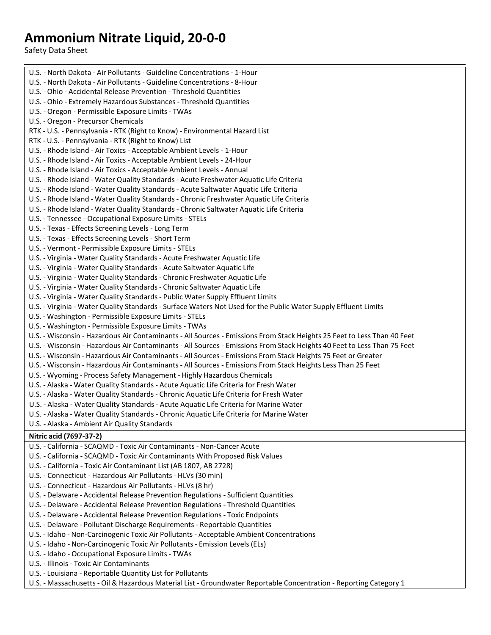Safety Data Sheet

| U.S. - North Dakota - Air Pollutants - Guideline Concentrations - 1-Hour                                                                                                          |
|-----------------------------------------------------------------------------------------------------------------------------------------------------------------------------------|
| U.S. - North Dakota - Air Pollutants - Guideline Concentrations - 8-Hour                                                                                                          |
| U.S. - Ohio - Accidental Release Prevention - Threshold Quantities                                                                                                                |
| U.S. - Ohio - Extremely Hazardous Substances - Threshold Quantities                                                                                                               |
| U.S. - Oregon - Permissible Exposure Limits - TWAs                                                                                                                                |
| U.S. - Oregon - Precursor Chemicals                                                                                                                                               |
| RTK - U.S. - Pennsylvania - RTK (Right to Know) - Environmental Hazard List                                                                                                       |
| RTK - U.S. - Pennsylvania - RTK (Right to Know) List                                                                                                                              |
| U.S. - Rhode Island - Air Toxics - Acceptable Ambient Levels - 1-Hour                                                                                                             |
| U.S. - Rhode Island - Air Toxics - Acceptable Ambient Levels - 24-Hour                                                                                                            |
| U.S. - Rhode Island - Air Toxics - Acceptable Ambient Levels - Annual                                                                                                             |
| U.S. - Rhode Island - Water Quality Standards - Acute Freshwater Aquatic Life Criteria                                                                                            |
| U.S. - Rhode Island - Water Quality Standards - Acute Saltwater Aquatic Life Criteria                                                                                             |
| U.S. - Rhode Island - Water Quality Standards - Chronic Freshwater Aquatic Life Criteria                                                                                          |
| U.S. - Rhode Island - Water Quality Standards - Chronic Saltwater Aquatic Life Criteria                                                                                           |
| U.S. - Tennessee - Occupational Exposure Limits - STELs                                                                                                                           |
| U.S. - Texas - Effects Screening Levels - Long Term                                                                                                                               |
| U.S. - Texas - Effects Screening Levels - Short Term                                                                                                                              |
| U.S. - Vermont - Permissible Exposure Limits - STELs                                                                                                                              |
| U.S. - Virginia - Water Quality Standards - Acute Freshwater Aquatic Life                                                                                                         |
| U.S. - Virginia - Water Quality Standards - Acute Saltwater Aquatic Life                                                                                                          |
| U.S. - Virginia - Water Quality Standards - Chronic Freshwater Aquatic Life                                                                                                       |
| U.S. - Virginia - Water Quality Standards - Chronic Saltwater Aquatic Life                                                                                                        |
| U.S. - Virginia - Water Quality Standards - Public Water Supply Effluent Limits                                                                                                   |
| U.S. - Virginia - Water Quality Standards - Surface Waters Not Used for the Public Water Supply Effluent Limits                                                                   |
| U.S. - Washington - Permissible Exposure Limits - STELs                                                                                                                           |
| U.S. - Washington - Permissible Exposure Limits - TWAs                                                                                                                            |
| U.S. - Wisconsin - Hazardous Air Contaminants - All Sources - Emissions From Stack Heights 25 Feet to Less Than 40 Feet                                                           |
| U.S. - Wisconsin - Hazardous Air Contaminants - All Sources - Emissions From Stack Heights 40 Feet to Less Than 75 Feet                                                           |
| U.S. - Wisconsin - Hazardous Air Contaminants - All Sources - Emissions From Stack Heights 75 Feet or Greater                                                                     |
| U.S. - Wisconsin - Hazardous Air Contaminants - All Sources - Emissions From Stack Heights Less Than 25 Feet                                                                      |
| U.S. - Wyoming - Process Safety Management - Highly Hazardous Chemicals                                                                                                           |
| U.S. - Alaska - Water Quality Standards - Acute Aquatic Life Criteria for Fresh Water                                                                                             |
|                                                                                                                                                                                   |
| U.S. - Alaska - Water Quality Standards - Chronic Aquatic Life Criteria for Fresh Water<br>U.S. - Alaska - Water Quality Standards - Acute Aquatic Life Criteria for Marine Water |
|                                                                                                                                                                                   |
| U.S. - Alaska - Water Quality Standards - Chronic Aquatic Life Criteria for Marine Water                                                                                          |
| U.S. - Alaska - Ambient Air Quality Standards                                                                                                                                     |
| Nitric acid (7697-37-2)                                                                                                                                                           |
| U.S. - California - SCAQMD - Toxic Air Contaminants - Non-Cancer Acute                                                                                                            |
| U.S. - California - SCAQMD - Toxic Air Contaminants With Proposed Risk Values                                                                                                     |
| U.S. - California - Toxic Air Contaminant List (AB 1807, AB 2728)                                                                                                                 |
| U.S. - Connecticut - Hazardous Air Pollutants - HLVs (30 min)                                                                                                                     |
| U.S. - Connecticut - Hazardous Air Pollutants - HLVs (8 hr)                                                                                                                       |
| U.S. - Delaware - Accidental Release Prevention Regulations - Sufficient Quantities                                                                                               |
| U.S. - Delaware - Accidental Release Prevention Regulations - Threshold Quantities                                                                                                |
| U.S. - Delaware - Accidental Release Prevention Regulations - Toxic Endpoints                                                                                                     |
| U.S. - Delaware - Pollutant Discharge Requirements - Reportable Quantities                                                                                                        |
| U.S. - Idaho - Non-Carcinogenic Toxic Air Pollutants - Acceptable Ambient Concentrations                                                                                          |
| U.S. - Idaho - Non-Carcinogenic Toxic Air Pollutants - Emission Levels (ELs)                                                                                                      |
| U.S. - Idaho - Occupational Exposure Limits - TWAs                                                                                                                                |
| U.S. - Illinois - Toxic Air Contaminants                                                                                                                                          |
| U.S. - Louisiana - Reportable Quantity List for Pollutants                                                                                                                        |
| U.S. - Massachusetts - Oil & Hazardous Material List - Groundwater Reportable Concentration - Reporting Category 1                                                                |
|                                                                                                                                                                                   |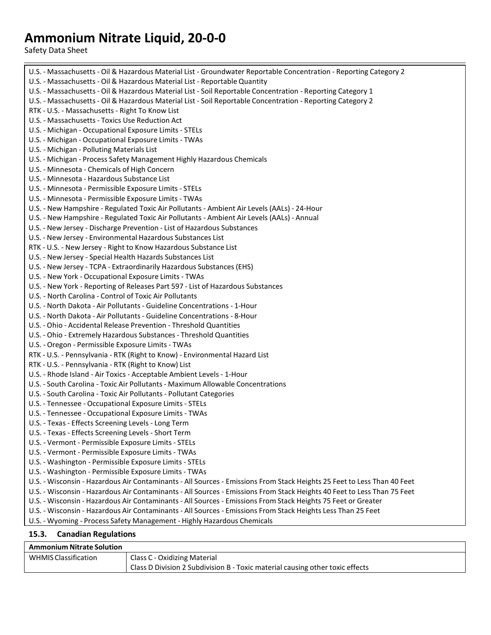Safety Data Sheet

U.S. - Massachusetts - Oil & Hazardous Material List - Groundwater Reportable Concentration - Reporting Category 2 U.S. - Massachusetts - Oil & Hazardous Material List - Reportable Quantity U.S. - Massachusetts - Oil & Hazardous Material List - Soil Reportable Concentration - Reporting Category 1 U.S. - Massachusetts - Oil & Hazardous Material List - Soil Reportable Concentration - Reporting Category 2 RTK - U.S. - Massachusetts - Right To Know List U.S. - Massachusetts - Toxics Use Reduction Act U.S. - Michigan - Occupational Exposure Limits - STELs U.S. - Michigan - Occupational Exposure Limits - TWAs U.S. - Michigan - Polluting Materials List U.S. - Michigan - Process Safety Management Highly Hazardous Chemicals U.S. - Minnesota - Chemicals of High Concern U.S. - Minnesota - Hazardous Substance List U.S. - Minnesota - Permissible Exposure Limits - STELs U.S. - Minnesota - Permissible Exposure Limits - TWAs U.S. - New Hampshire - Regulated Toxic Air Pollutants - Ambient Air Levels (AALs) - 24-Hour U.S. - New Hampshire - Regulated Toxic Air Pollutants - Ambient Air Levels (AALs) - Annual U.S. - New Jersey - Discharge Prevention - List of Hazardous Substances U.S. - New Jersey - Environmental Hazardous Substances List RTK - U.S. - New Jersey - Right to Know Hazardous Substance List U.S. - New Jersey - Special Health Hazards Substances List U.S. - New Jersey - TCPA - Extraordinarily Hazardous Substances (EHS) U.S. - New York - Occupational Exposure Limits - TWAs U.S. - New York - Reporting of Releases Part 597 - List of Hazardous Substances U.S. - North Carolina - Control of Toxic Air Pollutants U.S. - North Dakota - Air Pollutants - Guideline Concentrations - 1-Hour U.S. - North Dakota - Air Pollutants - Guideline Concentrations - 8-Hour U.S. - Ohio - Accidental Release Prevention - Threshold Quantities U.S. - Ohio - Extremely Hazardous Substances - Threshold Quantities U.S. - Oregon - Permissible Exposure Limits - TWAs RTK - U.S. - Pennsylvania - RTK (Right to Know) - Environmental Hazard List RTK - U.S. - Pennsylvania - RTK (Right to Know) List U.S. - Rhode Island - Air Toxics - Acceptable Ambient Levels - 1-Hour U.S. - South Carolina - Toxic Air Pollutants - Maximum Allowable Concentrations U.S. - South Carolina - Toxic Air Pollutants - Pollutant Categories U.S. - Tennessee - Occupational Exposure Limits - STELs U.S. - Tennessee - Occupational Exposure Limits - TWAs U.S. - Texas - Effects Screening Levels - Long Term U.S. - Texas - Effects Screening Levels - Short Term U.S. - Vermont - Permissible Exposure Limits - STELs U.S. - Vermont - Permissible Exposure Limits - TWAs U.S. - Washington - Permissible Exposure Limits - STELs U.S. - Washington - Permissible Exposure Limits - TWAs U.S. - Wisconsin - Hazardous Air Contaminants - All Sources - Emissions From Stack Heights 25 Feet to Less Than 40 Feet U.S. - Wisconsin - Hazardous Air Contaminants - All Sources - Emissions From Stack Heights 40 Feet to Less Than 75 Feet U.S. - Wisconsin - Hazardous Air Contaminants - All Sources - Emissions From Stack Heights 75 Feet or Greater U.S. - Wisconsin - Hazardous Air Contaminants - All Sources - Emissions From Stack Heights Less Than 25 Feet U.S. - Wyoming - Process Safety Management - Highly Hazardous Chemicals

### **15.3. Canadian Regulations**

| <b>Ammonium Nitrate Solution</b> |                                                                               |
|----------------------------------|-------------------------------------------------------------------------------|
| WHMIS Classification             | Class C - Oxidizing Material                                                  |
|                                  | Class D Division 2 Subdivision B - Toxic material causing other toxic effects |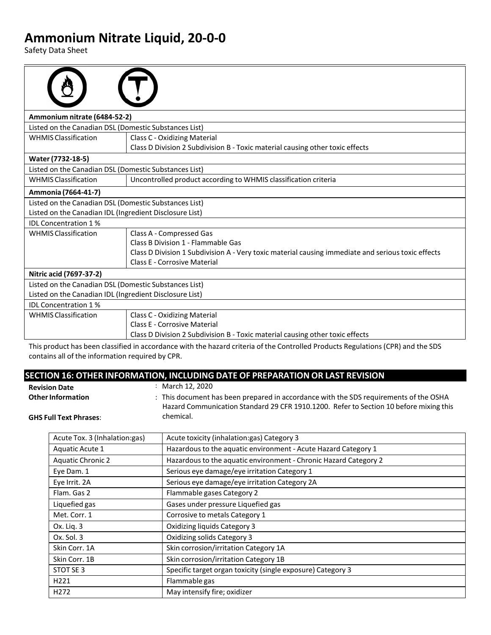Safety Data Sheet

| Ammonium nitrate (6484-52-2)                            |                                                                                                    |  |
|---------------------------------------------------------|----------------------------------------------------------------------------------------------------|--|
| Listed on the Canadian DSL (Domestic Substances List)   |                                                                                                    |  |
| <b>WHMIS Classification</b>                             | Class C - Oxidizing Material                                                                       |  |
|                                                         | Class D Division 2 Subdivision B - Toxic material causing other toxic effects                      |  |
| Water (7732-18-5)                                       |                                                                                                    |  |
| Listed on the Canadian DSL (Domestic Substances List)   |                                                                                                    |  |
| <b>WHMIS Classification</b>                             | Uncontrolled product according to WHMIS classification criteria                                    |  |
| Ammonia (7664-41-7)                                     |                                                                                                    |  |
| Listed on the Canadian DSL (Domestic Substances List)   |                                                                                                    |  |
| Listed on the Canadian IDL (Ingredient Disclosure List) |                                                                                                    |  |
| <b>IDL Concentration 1%</b>                             |                                                                                                    |  |
| <b>WHMIS Classification</b>                             | Class A - Compressed Gas                                                                           |  |
|                                                         | Class B Division 1 - Flammable Gas                                                                 |  |
|                                                         | Class D Division 1 Subdivision A - Very toxic material causing immediate and serious toxic effects |  |
|                                                         | Class E - Corrosive Material                                                                       |  |
| Nitric acid (7697-37-2)                                 |                                                                                                    |  |
| Listed on the Canadian DSL (Domestic Substances List)   |                                                                                                    |  |
| Listed on the Canadian IDL (Ingredient Disclosure List) |                                                                                                    |  |
| <b>IDL Concentration 1%</b>                             |                                                                                                    |  |
| <b>WHMIS Classification</b>                             | Class C - Oxidizing Material                                                                       |  |
|                                                         | Class E - Corrosive Material                                                                       |  |
|                                                         | Class D Division 2 Subdivision B - Toxic material causing other toxic effects                      |  |

This product has been classified in accordance with the hazard criteria of the Controlled Products Regulations (CPR) and the SDS contains all of the information required by CPR.

| SECTION 16: OTHER INFORMATION, INCLUDING DATE OF PREPARATION OR LAST REVISION |                                                                                                                                                                                 |  |  |
|-------------------------------------------------------------------------------|---------------------------------------------------------------------------------------------------------------------------------------------------------------------------------|--|--|
| <b>Revision Date</b>                                                          | : March 12, 2020                                                                                                                                                                |  |  |
| <b>Other Information</b>                                                      | : This document has been prepared in accordance with the SDS requirements of the OSHA<br>Hazard Communication Standard 29 CFR 1910.1200. Refer to Section 10 before mixing this |  |  |
| <b>GHS Full Text Phrases:</b>                                                 | chemical.                                                                                                                                                                       |  |  |

| Acute Tox. 3 (Inhalation: gas) | Acute toxicity (inhalation: gas) Category 3                      |
|--------------------------------|------------------------------------------------------------------|
| Aquatic Acute 1                | Hazardous to the aquatic environment - Acute Hazard Category 1   |
| <b>Aquatic Chronic 2</b>       | Hazardous to the aquatic environment - Chronic Hazard Category 2 |
| Eye Dam. 1                     | Serious eye damage/eye irritation Category 1                     |
| Eye Irrit. 2A                  | Serious eye damage/eye irritation Category 2A                    |
| Flam. Gas 2                    | Flammable gases Category 2                                       |
| Liquefied gas                  | Gases under pressure Liquefied gas                               |
| Met. Corr. 1                   | Corrosive to metals Category 1                                   |
| Ox. Liq. 3                     | Oxidizing liquids Category 3                                     |
| Ox. Sol. 3                     | Oxidizing solids Category 3                                      |
| Skin Corr. 1A                  | Skin corrosion/irritation Category 1A                            |
| Skin Corr. 1B                  | Skin corrosion/irritation Category 1B                            |
| STOT SE 3                      | Specific target organ toxicity (single exposure) Category 3      |
| H <sub>221</sub>               | Flammable gas                                                    |
| H <sub>272</sub>               | May intensify fire; oxidizer                                     |